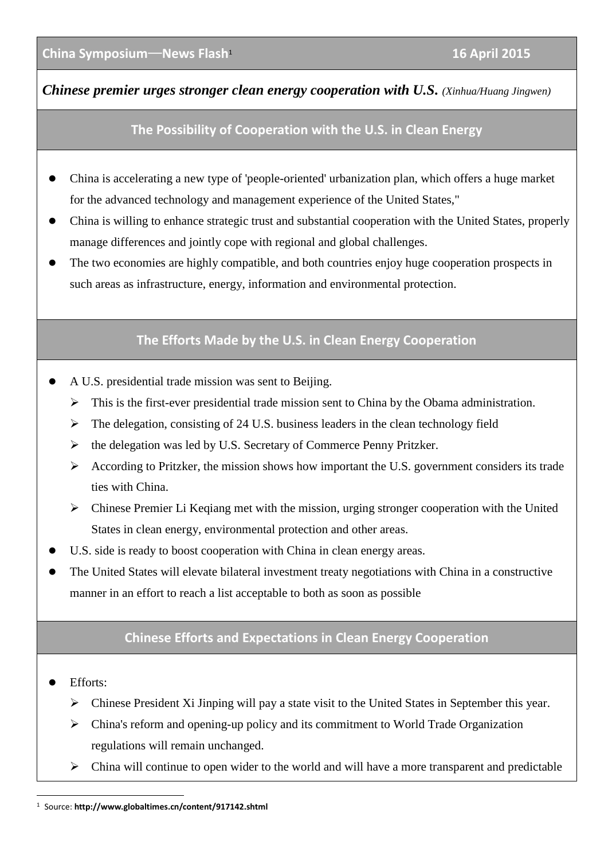*Chinese premier urges stronger clean energy cooperation with U.S. (Xinhua/Huang Jingwen)*

## **The Possibility of Cooperation with the U.S. in Clean Energy**

- China is accelerating a new type of 'people-oriented' urbanization plan, which offers a huge market for the advanced technology and management experience of the United States,"
- China is willing to enhance strategic trust and substantial cooperation with the United States, properly manage differences and jointly cope with regional and global challenges.
- The two economies are highly compatible, and both countries enjoy huge cooperation prospects in such areas as infrastructure, energy, information and environmental protection.

## **The Efforts Made by the U.S. in Clean Energy Cooperation**

- A U.S. presidential trade mission was sent to Beijing.
	- $\triangleright$  This is the first-ever presidential trade mission sent to China by the Obama administration.
	- $\triangleright$  The delegation, consisting of 24 U.S. business leaders in the clean technology field
	- $\triangleright$  the delegation was led by U.S. Secretary of Commerce Penny Pritzker.
	- $\triangleright$  According to Pritzker, the mission shows how important the U.S. government considers its trade ties with China.
	- Chinese Premier Li Keqiang met with the mission, urging stronger cooperation with the United States in clean energy, environmental protection and other areas.
- U.S. side is ready to boost cooperation with China in clean energy areas.
- The United States will elevate bilateral investment treaty negotiations with China in a constructive manner in an effort to reach a list acceptable to both as soon as possible

## **Chinese Efforts and Expectations in Clean Energy Cooperation**

- Efforts:
	- Chinese President Xi Jinping will pay a state visit to the United States in September this year.
	- $\triangleright$  China's reform and opening-up policy and its commitment to World Trade Organization regulations will remain unchanged.
	- $\triangleright$  China will continue to open wider to the world and will have a more transparent and predictable

<sup>-</sup><sup>1</sup> Source: **<http://www.globaltimes.cn/content/917142.shtml>**